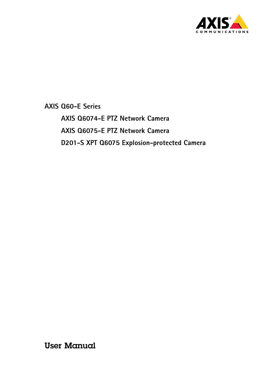

**AXIS Q6074-E PTZ Network Camera AXIS Q6075-E PTZ Network Camera D201-S XPT Q6075 Explosion-protected Camera**

User Manual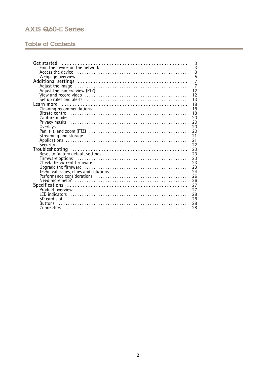# **Table of Contents**

| 3<br>$\overline{5}$<br>Webpage overview educational contractor contractor of Webpage overview<br>$\overline{7}$<br>$\overline{7}$<br>12<br>12<br>13<br>18<br>18<br>18<br>Capture modes (all contains and contained a contact the capture modes and contains a contact the contact the c<br>20<br>20<br>20<br>Overlays<br>20<br>21<br>21<br>22<br>23<br>23<br>23<br>Firmware options<br>Check the current firmware<br>23<br>23<br>24<br>26<br>26<br>27 | Get started | 3              |
|-------------------------------------------------------------------------------------------------------------------------------------------------------------------------------------------------------------------------------------------------------------------------------------------------------------------------------------------------------------------------------------------------------------------------------------------------------|-------------|----------------|
|                                                                                                                                                                                                                                                                                                                                                                                                                                                       |             | $\overline{3}$ |
|                                                                                                                                                                                                                                                                                                                                                                                                                                                       |             |                |
|                                                                                                                                                                                                                                                                                                                                                                                                                                                       |             |                |
|                                                                                                                                                                                                                                                                                                                                                                                                                                                       |             |                |
|                                                                                                                                                                                                                                                                                                                                                                                                                                                       |             |                |
|                                                                                                                                                                                                                                                                                                                                                                                                                                                       |             |                |
|                                                                                                                                                                                                                                                                                                                                                                                                                                                       |             |                |
|                                                                                                                                                                                                                                                                                                                                                                                                                                                       |             |                |
|                                                                                                                                                                                                                                                                                                                                                                                                                                                       |             |                |
|                                                                                                                                                                                                                                                                                                                                                                                                                                                       |             |                |
|                                                                                                                                                                                                                                                                                                                                                                                                                                                       |             |                |
|                                                                                                                                                                                                                                                                                                                                                                                                                                                       |             |                |
|                                                                                                                                                                                                                                                                                                                                                                                                                                                       |             |                |
|                                                                                                                                                                                                                                                                                                                                                                                                                                                       |             |                |
|                                                                                                                                                                                                                                                                                                                                                                                                                                                       |             |                |
|                                                                                                                                                                                                                                                                                                                                                                                                                                                       |             |                |
|                                                                                                                                                                                                                                                                                                                                                                                                                                                       |             |                |
|                                                                                                                                                                                                                                                                                                                                                                                                                                                       |             |                |
|                                                                                                                                                                                                                                                                                                                                                                                                                                                       |             |                |
|                                                                                                                                                                                                                                                                                                                                                                                                                                                       |             |                |
|                                                                                                                                                                                                                                                                                                                                                                                                                                                       |             |                |
|                                                                                                                                                                                                                                                                                                                                                                                                                                                       |             |                |
|                                                                                                                                                                                                                                                                                                                                                                                                                                                       |             |                |
|                                                                                                                                                                                                                                                                                                                                                                                                                                                       |             |                |
|                                                                                                                                                                                                                                                                                                                                                                                                                                                       |             |                |
|                                                                                                                                                                                                                                                                                                                                                                                                                                                       |             |                |
|                                                                                                                                                                                                                                                                                                                                                                                                                                                       |             |                |
| 27                                                                                                                                                                                                                                                                                                                                                                                                                                                    |             |                |
| 28                                                                                                                                                                                                                                                                                                                                                                                                                                                    |             |                |
| 28<br>SD card slot                                                                                                                                                                                                                                                                                                                                                                                                                                    |             |                |
| 28<br><b>Buttons</b>                                                                                                                                                                                                                                                                                                                                                                                                                                  |             |                |
| 28<br>Connectors                                                                                                                                                                                                                                                                                                                                                                                                                                      |             |                |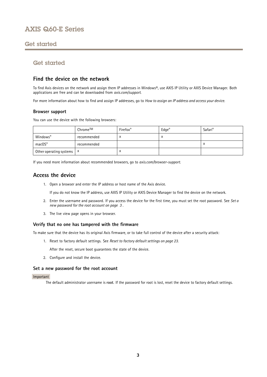## <span id="page-2-0"></span>Get started

## Get started

## **Find the device on the network**

To find Axis devices on the network and assign them IP addresses in Windows®, use AXIS IP Utility or AXIS Device Manager. Both applications are free and can be downloaded from *[axis.com/support](https://www.axis.com/support)*.

For more information about how to find and assign IP addresses, go to *How to [assign](https://www.axis.com/products/online-manual/i90000) an IP address and access your device*.

### **Browser support**

You can use the device with the following browsers:

|                                      | Chrome™     | Firefox <sup>®</sup> | $Edge^{\circledast}$ | Safari <sup>®</sup> |
|--------------------------------------|-------------|----------------------|----------------------|---------------------|
| Windows®                             | recommended |                      | ́                    |                     |
| macOS®                               | recommended |                      |                      | $\lambda$           |
| Other operating systems $\mathbf{x}$ |             | $\lambda$            |                      |                     |

If you need more information about recommended browsers, go to *[axis.com/browser-support](https://www.axis.com/browser-support)*.

## **Access the device**

1. Open <sup>a</sup> browser and enter the IP address or host name of the Axis device.

If you do not know the IP address, use AXIS IP Utility or AXIS Device Manager to find the device on the network.

- 2. Enter the username and password. If you access the device for the first time, you must set the root password. See *Set <sup>a</sup> new password for the root account on page 3* .
- 3. The live view page opens in your browser.

## **Verify that no one has tampered with the firmware**

To make sure that the device has its original Axis firmware, or to take full control of the device after <sup>a</sup> security attack:

1. Reset to factory default settings. See *Reset to factory default [settings](#page-22-0) on page [23](#page-22-0)*.

After the reset, secure boot guarantees the state of the device.

2. Configure and install the device.

### **Set <sup>a</sup> new password for the root account**

### Important

The default administrator username is **root**. If the password for root is lost, reset the device to factory default settings.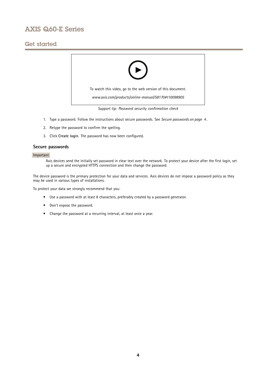## Get started



- 1. Type <sup>a</sup> password. Follow the instructions about secure passwords. See *Secure passwords on page <sup>4</sup>* .
- 2. Retype the password to confirm the spelling.
- 3. Click **Create login**. The password has now been configured.

## **Secure passwords**

### Important

Axis devices send the initially set password in clear text over the network. To protect your device after the first login, set up <sup>a</sup> secure and encrypted HTTPS connection and then change the password.

The device password is the primary protection for your data and services. Axis devices do not impose <sup>a</sup> password policy as they may be used in various types of installations.

To protect your data we strongly recommend that you:

- Use <sup>a</sup> password with at least 8 characters, preferably created by <sup>a</sup> password generator.
- Don't expose the password.
- Change the password at <sup>a</sup> recurring interval, at least once <sup>a</sup> year.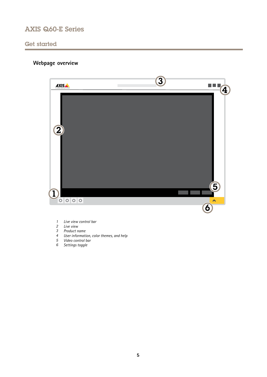<span id="page-4-0"></span>Get started

# **Webpage overview**



- *1 Live view control bar*
- *2 Live view*
- *3 Product name*
- *<sup>4</sup> User information, color themes, and help*
- *5 Video control bar*
- *6 Settings toggle*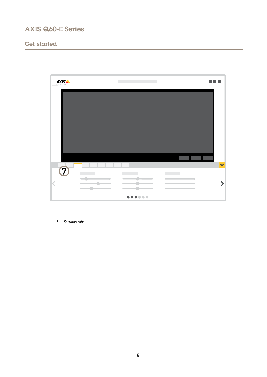# Get started



*7 Settings tabs*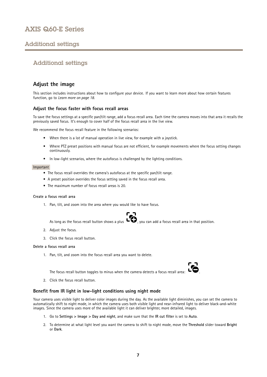## <span id="page-6-0"></span>Additional settings

## Additional settings

## **Adjust the image**

This section includes instructions about how to configure your device. If you want to learn more about how certain features function, go to *[Learn](#page-17-0) more on page [18](#page-17-0)*.

## **Adjust the focus faster with focus recall areas**

To save the focus settings at <sup>a</sup> specific pan/tilt range, add <sup>a</sup> focus recall area. Each time the camera moves into that area it recalls the previously saved focus. It's enough to cover half of the focus recall area in the live view.

We recommend the focus recall feature in the following scenarios:

- When there is <sup>a</sup> lot of manual operation in live view, for example with <sup>a</sup> joystick.
- • Where PTZ preset positions with manual focus are not efficient, for example movements where the focus setting changes continuously.
- In low-light scenarios, where the autofocus is challenged by the lighting conditions.

#### Important

- The focus recall overrides the camera's autofocus at the specific pan/tilt range.
- A preset position overrides the focus setting saved in the focus recall area.
- The maximum number of focus recall areas is 20.

### **Create <sup>a</sup> focus recall area**

1. Pan, tilt, and zoom into the area where you would like to have focus.



As long as the focus recall button shows a plus  $\ddot{\bullet}$ , you can add a focus recall area in that position.

- 2. Adjust the focus.
- 3. Click the focus recall button.

### **Delete <sup>a</sup> focus recall area**

1. Pan, tilt, and zoom into the focus recall area you want to delete.



The focus recall button toggles to minus when the camera detects a focus recall area:

2. Click the focus recall button.

## **Benefit from IR light in low-light conditions using night mode**

Your camera uses visible light to deliver color images during the day. As the available light diminishes, you can set the camera to automatically shift to night mode, in which the camera uses both visible light and near-infrared light to deliver black-and-white images. Since the camera uses more of the available light it can deliver brighter, more detailed, images.

- 1. Go to **Settings <sup>&</sup>gt; Image <sup>&</sup>gt; Day and night**, and make sure that the **IR cut filter** is set to **Auto**.
- 2. To determine at what light level you want the camera to shift to night mode, move the **Threshold** slider toward **Bright** or **Dark**.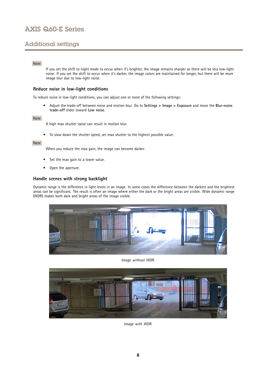## Additional settings

## Note

If you set the shift to night mode to occur when it's brighter, the image remains sharper as there will be less low-light noise. If you set the shift to occur when it's darker, the image colors are maintained for longer, but there will be more image blur due to low-light noise.

## **Reduce noise in low-light conditions**

To reduce noise in low-light conditions, you can adjust one or more of the following settings:

• Adjust the trade-off between noise and motion blur. Go to **Settings <sup>&</sup>gt; Image <sup>&</sup>gt; Exposure** and move the **Blur-noise trade-off** slider toward **Low noise**.

### Note

A high max shutter value can result in motion blur.

• To slow down the shutter speed, set max shutter to the highest possible value.

### Note

When you reduce the max gain, the image can become darker.

- •Set the max gain to <sup>a</sup> lower value.
- •Open the aperture.

## **Handle scenes with strong backlight**

Dynamic range is the difference in light levels in an image. In some cases the difference between the darkest and the brightest areas can be significant. The result is often an image where either the dark or the bright areas are visible. Wide dynamic range (WDR) makes both dark and bright areas of the image visible.



*Image without WDR.*



*Image with WDR.*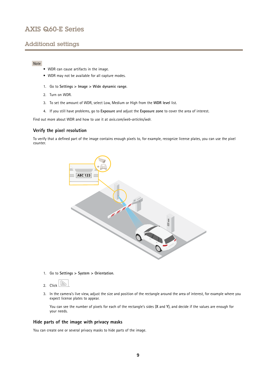## Additional settings

## Note

- WDR can cause artifacts in the image.
- WDR may not be available for all capture modes.
- 1. Go to **Settings <sup>&</sup>gt; Image <sup>&</sup>gt; Wide dynamic range**.
- 2. Turn on WDR.
- 3. To set the amount of WDR, select Low, Medium or High from the **WDR level** list.
- 4. If you still have problems, go to **Exposure** and adjust the **Exposure zone** to cover the area of interest.

Find out more about WDR and how to use it at *[axis.com/web-articles/wdr](https://www.axis.com/web-articles/wdr)*.

### **Verify the pixel resolution**

To verify that <sup>a</sup> defined part of the image contains enough pixels to, for example, recognize license plates, you can use the pixel counter.



1. Go to **Settings <sup>&</sup>gt; System <sup>&</sup>gt; Orientation**.



3. In the camera's live view, adjust the size and position of the rectangle around the area of interest, for example where you expect license plates to appear.

You can see the number of pixels for each of the rectangle's sides (**X** and **Y**), and decide if the values are enough for your needs.

### **Hide parts of the image with privacy masks**

You can create one or several privacy masks to hide parts of the image.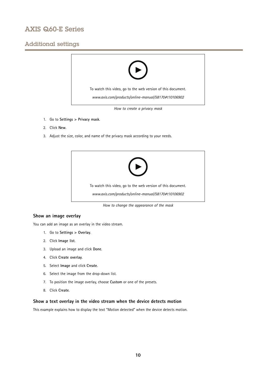## Additional settings



- 1. Go to **Settings <sup>&</sup>gt; Privacy mask**.
- 2. Click **New**.
- 3. Adjust the size, color, and name of the privacy mask according to your needs.



*How to change the appearance of the mask*

### **Show an image overlay**

You can add an image as an overlay in the video stream.

- 1. Go to **Settings <sup>&</sup>gt; Overlay**.
- 2. Click **Image list**.
- 3. Upload an image and click **Done**.
- 4. Click **Create overlay**.
- 5. Select **Image** and click **Create**.
- 6. Select the image from the drop-down list.
- 7. To position the image overlay, choose **Custom** or one of the presets.
- 8. Click **Create**.

## **Show <sup>a</sup> text overlay in the video stream when the device detects motion**

This example explains how to display the text "Motion detected" when the device detects motion.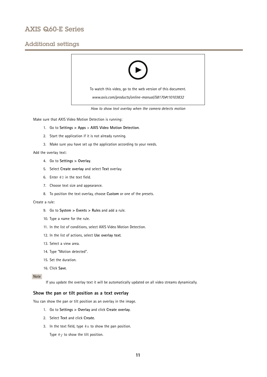## Additional settings



*How to show text overlay when the camera detects motion*

Make sure that AXIS Video Motion Detection is running:

- 1. Go to **Settings <sup>&</sup>gt; Apps** <sup>&</sup>gt; **AXIS Video Motion Detection**.
- 2. Start the application if it is not already running.
- 3. Make sure you have set up the application according to your needs.

Add the overlay text:

- 4. Go to **Settings <sup>&</sup>gt; Overlay**.
- 5. Select **Create overlay** and select **Text** overlay.
- 6. Enter #D in the text field.
- 7. Choose text size and appearance.
- 8. To position the text overlay, choose **Custom** or one of the presets.

#### Create <sup>a</sup> rule:

- 9. Go to **System <sup>&</sup>gt; Events <sup>&</sup>gt; Rules** and add <sup>a</sup> rule.
- 10. Type <sup>a</sup> name for the rule.
- 11. In the list of conditions, select AXIS Video Motion Detection.
- 12. In the list of actions, select **Use overlay text**.
- 13. Select <sup>a</sup> view area.
- 14. Type "Motion detected".
- 15. Set the duration.
- 16. Click **Save**.

## Note

If you update the overlay text it will be automatically updated on all video streams dynamically.

## **Show the pan or tilt position as <sup>a</sup> text overlay**

You can show the pan or tilt position as an overlay in the image.

- 1. Go to **Settings <sup>&</sup>gt; Overlay** and click **Create overlay**.
- 2. Select **Text** and click **Create**.
- 3. In the text field, type  $\# \times$  to show the pan position.

Type  $\#$ y to show the tilt position.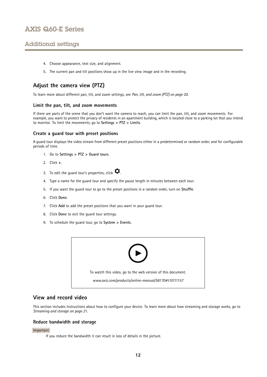## <span id="page-11-0"></span>Additional settings

- 4. Choose appearance, text size, and alignment.
- 5. The current pan and tilt positions show up in the live view image and in the recording.

## **Adjust the camera view (PTZ)**

To learn more about different pan, tilt, and zoom settings, see *Pan, tilt, and zoom [\(PTZ\)](#page-19-0) on page [20](#page-19-0)*.

### **Limit the pan, tilt, and zoom movements**

If there are parts of the scene that you don't want the camera to reach, you can limit the pan, tilt, and zoom movements. For example, you want to protect the privacy of residents in an apartment building, which is located close to <sup>a</sup> parking lot that you intend to monitor. To limit the movements, go to **Settings <sup>&</sup>gt; PTZ <sup>&</sup>gt; Limits**.

### **Create <sup>a</sup> guard tour with preset positions**

A guard tour displays the video stream from different preset positions either in <sup>a</sup> predetermined or random order, and for configurable periods of time.

- 1. Go to **Settings <sup>&</sup>gt; PTZ <sup>&</sup>gt; Guard tours**.
- 2. Click **<sup>+</sup>**.
- 3. To edit the guard tour's properties, click  $\boldsymbol{\mathcal{D}}$ .
- 4. Type <sup>a</sup> name for the guard tour and specify the pause length in minutes between each tour.
- 5. If you want the guard tour to go to the preset positions in <sup>a</sup> random order, turn on **Shuffle**.
- 6. Click **Done**.
- 7. Click **Add** to add the preset positions that you want in your guard tour.
- 8. Click **Done** to exit the guard tour settings.
- 9. To schedule the guard tour, go to **System <sup>&</sup>gt; Events**.



## **View and record video**

This section includes instructions about how to configure your device. To learn more about how streaming and storage works, go to *[Streaming](#page-20-0) and storage on page [21](#page-20-0)*.

### **Reduce bandwidth and storage**

#### Important

If you reduce the bandwidth it can result in loss of details in the picture.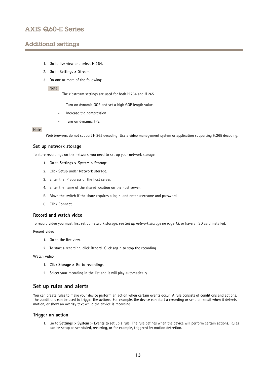## <span id="page-12-0"></span>Additional settings

- 1. Go to live view and select **H.264**.
- 2. Go to **Settings <sup>&</sup>gt; Stream**.
- 3. Do one or more of the following:

#### Note

The zipstream settings are used for both H.264 and H.265.

- Turn on dynamic GOP and set <sup>a</sup> high GOP length value.
- Increase the compression.
- Turn on dynamic FPS.

#### Note

Web browsers do not support H.265 decoding. Use <sup>a</sup> video management system or application supporting H.265 decoding.

## **Set up network storage**

To store recordings on the network, you need to set up your network storage.

- 1. Go to **Settings <sup>&</sup>gt; System** <sup>&</sup>gt; **Storage**.
- 2. Click **Setup** under **Network storage**.
- 3. Enter the IP address of the host server.
- 4. Enter the name of the shared location on the host server.
- 5. Move the switch if the share requires <sup>a</sup> login, and enter username and password.
- 6. Click **Connect**.

#### **Record and watch video**

To record video you must first set up network storage, see *Set up network storage on page 13*, or have an SD card installed.

#### **Record video**

- 1. Go to the live view.
- 2. To start <sup>a</sup> recording, click **Record**. Click again to stop the recording.

#### **Watch video**

- 1. Click **Storage <sup>&</sup>gt; Go to recordings**.
- 2. Select your recording in the list and it will play automatically.

## **Set up rules and alerts**

You can create rules to make your device perform an action when certain events occur. A rule consists of conditions and actions. The conditions can be used to trigger the actions. For example, the device can start <sup>a</sup> recording or send an email when it detects motion, or show an overlay text while the device is recording.

### **Trigger an action**

1. Go to **Settings <sup>&</sup>gt; System <sup>&</sup>gt; Events** to set up <sup>a</sup> rule. The rule defines when the device will perform certain actions. Rules can be setup as scheduled, recurring, or for example, triggered by motion detection.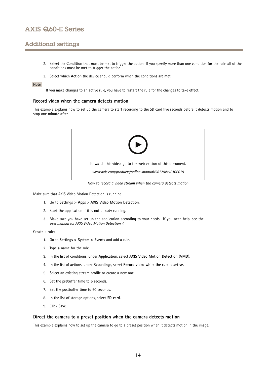## Additional settings

- 2. Select the **Condition** that must be met to trigger the action. If you specify more than one condition for the rule, all of the conditions must be met to trigger the action.
- 3. Select which **Action** the device should perform when the conditions are met.

### Note

If you make changes to an active rule, you have to restart the rule for the changes to take effect.

#### **Record video when the camera detects motion**

This example explains how to set up the camera to start recording to the SD card five seconds before it detects motion and to stop one minute after.



*How to record a video stream when the camera detects motion*

Make sure that AXIS Video Motion Detection is running:

- 1. Go to **Settings <sup>&</sup>gt; Apps** <sup>&</sup>gt; **AXIS Video Motion Detection**.
- 2. Start the application if it is not already running.
- 3. Make sure you have set up the application according to your needs. If you need help, see the *user manual for AXIS Video Motion [Detection](https://www.axis.com/products/online-manual/44110) 4*.

#### Create <sup>a</sup> rule:

- 1. Go to **Settings <sup>&</sup>gt; System <sup>&</sup>gt; Events** and add <sup>a</sup> rule.
- 2. Type <sup>a</sup> name for the rule.
- 3. In the list of conditions, under **Application**, select **AXIS Video Motion Detection (VMD)**.
- 4. In the list of actions, under **Recordings**, select **Record video while the rule is active**.
- 5. Select an existing stream profile or create <sup>a</sup> new one.
- 6. Set the prebuffer time to 5 seconds.
- 7. Set the postbuffer time to 60 seconds.
- 8. In the list of storage options, select **SD card**.
- 9. Click **Save**.

### **Direct the camera to <sup>a</sup> preset position when the camera detects motion**

This example explains how to set up the camera to go to <sup>a</sup> preset position when it detects motion in the image.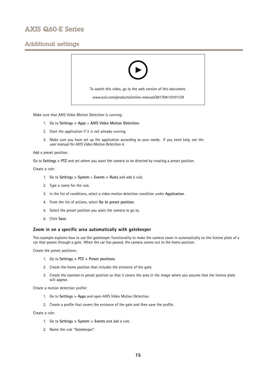## Additional settings



Make sure that AXIS Video Motion Detection is running:

- 1. Go to **Settings <sup>&</sup>gt; Apps** <sup>&</sup>gt; **AXIS Video Motion Detection**.
- 2. Start the application if it is not already running.
- 3. Make sure you have set up the application according to your needs. If you need help, see the *user manual for AXIS Video Motion [Detection](https://www.axis.com/products/online-manual/44110) 4*.

#### Add <sup>a</sup> preset position:

Go to **Settings <sup>&</sup>gt; PTZ** and set where you want the camera to be directed by creating <sup>a</sup> preset position.

### Create <sup>a</sup> rule:

- 1. Go to **Settings <sup>&</sup>gt; System** <sup>&</sup>gt; **Events <sup>&</sup>gt; Rules** and add <sup>a</sup> rule.
- 2. Type <sup>a</sup> name for the rule.
- 3. In the list of conditions, select <sup>a</sup> video motion detection condition under **Application**.
- 4. From the list of actions, select **Go to preset position**.
- 5. Select the preset position you want the camera to go to.
- 6. Click **Save**.

## **Zoom in on <sup>a</sup> specific area automatically with gatekeeper**

This example explains how to use the gatekeeper functionality to make the camera zoom in automatically on the license plate of <sup>a</sup> car that passes through <sup>a</sup> gate. When the car has passed, the camera zooms out to the home position.

Create the preset positions:

- 1. Go to **Settings <sup>&</sup>gt; PTZ <sup>&</sup>gt; Preset positions**.
- 2. Create the home position that includes the entrance of the gate.
- 3. Create the zoomed-in preset position so that it covers the area in the image where you assume that the license plate will appear.

Create <sup>a</sup> motion detection profile:

- 1. Go to **Settings <sup>&</sup>gt; Apps** and open AXIS Video Motion Detection.
- 2. Create <sup>a</sup> profile that covers the entrance of the gate and then save the profile.

Create <sup>a</sup> rule:

- 1. Go to **Settings <sup>&</sup>gt; System <sup>&</sup>gt; Events** and add <sup>a</sup> rule.
- 2. Name the rule "Gatekeeper".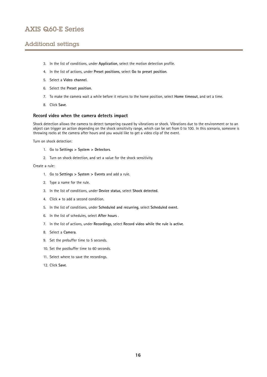## Additional settings

- 3. In the list of conditions, under **Application**, select the motion detection profile.
- 4. In the list of actions, under **Preset positions**, select **Go to preset position**.
- 5. Select <sup>a</sup> **Video channel**.
- 6. Select the **Preset position**.
- 7. To make the camera wait <sup>a</sup> while before it returns to the home position, select **Home timeout**, and set <sup>a</sup> time.
- 8. Click **Save**.

### **Record video when the camera detects impact**

Shock detection allows the camera to detect tampering caused by vibrations or shock. Vibrations due to the environment or to an object can trigger an action depending on the shock sensitivity range, which can be set from 0 to 100. In this scenario, someone is throwing rocks at the camera after hours and you would like to get <sup>a</sup> video clip of the event.

Turn on shock detection:

- 1. Go to **Settings <sup>&</sup>gt; System <sup>&</sup>gt; Detectors**.
- 2. Turn on shock detection, and set <sup>a</sup> value for the shock sensitivity.

Create <sup>a</sup> rule:

- 1. Go to **Settings <sup>&</sup>gt; System <sup>&</sup>gt; Events** and add <sup>a</sup> rule.
- 2. Type <sup>a</sup> name for the rule.
- 3. In the list of conditions, under **Device status**, select **Shock detected**.
- 4. Click **<sup>+</sup>** to add <sup>a</sup> second condition.
- 5. In the list of conditions, under **Scheduled and recurring**, select **Scheduled event**.
- 6. In the list of schedules, select **After hours** .
- 7. In the list of actions, under **Recordings**, select **Record video while the rule is active**.
- 8. Select <sup>a</sup> **Camera**.
- 9. Set the prebuffer time to 5 seconds.
- 10. Set the postbuffer time to 60 seconds.
- 11. Select where to save the recordings.
- 12. Click **Save**.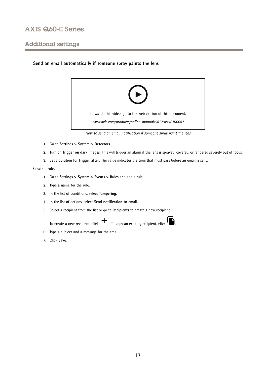## Additional settings

## **Send an email automatically if someone spray paints the lens**



*How to send an email notification if someone spray paint the lens*

- 1. Go to **Settings <sup>&</sup>gt; System <sup>&</sup>gt; Detectors**.
- 2. Turn on **Trigger on dark images**. This will trigger an alarm if the lens is sprayed, covered, or rendered severely out of focus.
- 3. Set <sup>a</sup> duration for **Trigger after**. The value indicates the time that must pass before an email is sent.

## Create <sup>a</sup> rule:

- 1. Go to **Settings <sup>&</sup>gt; System <sup>&</sup>gt; Events <sup>&</sup>gt; Rules** and add <sup>a</sup> rule.
- 2. Type <sup>a</sup> name for the rule.
- 3. In the list of conditions, select **Tampering**.
- 4. In the list of actions, select **Send notification to email**.
- 5. Select <sup>a</sup> recipient from the list or go to **Recipients** to create <sup>a</sup> new recipient.

To create a new recipient, click  $\begin{array}{c} \uparrow \\ \downarrow \end{array}$  . To copy an existing recipient, click  $\begin{array}{c} \bullet \\ \bullet \end{array}$ 

- 6. Type <sup>a</sup> subject and <sup>a</sup> message for the email.
- 7. Click **Save**.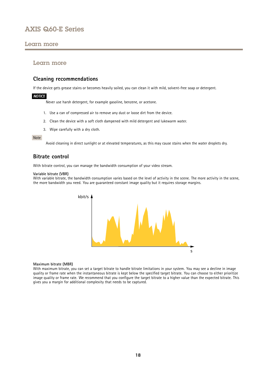## <span id="page-17-0"></span>Learn more

## Learn more

## **Cleaning recommendations**

If the device gets grease stains or becomes heavily soiled, you can clean it with mild, solvent-free soap or detergent.

### *NOTICE*

Never use harsh detergent, for example gasoline, benzene, or acetone.

- 1. Use <sup>a</sup> can of compressed air to remove any dust or loose dirt from the device.
- 2. Clean the device with <sup>a</sup> soft cloth dampened with mild detergent and lukewarm water.
- 3. Wipe carefully with <sup>a</sup> dry cloth.

#### Note

Avoid cleaning in direct sunlight or at elevated temperatures, as this may cause stains when the water droplets dry.

## **Bitrate control**

With bitrate control, you can manage the bandwidth consumption of your video stream.

#### **Variable bitrate (VBR)**

With variable bitrate, the bandwidth consumption varies based on the level of activity in the scene. The more activity in the scene, the more bandwidth you need. You are guaranteed constant image quality but it requires storage margins.



#### **Maximum bitrate (MBR)**

With maximum bitrate, you can set <sup>a</sup> target bitrate to handle bitrate limitations in your system. You may see <sup>a</sup> decline in image quality or frame rate when the instantaneous bitrate is kept below the specified target bitrate. You can choose to either prioritize image quality or frame rate. We recommend that you configure the target bitrate to <sup>a</sup> higher value than the expected bitrate. This gives you <sup>a</sup> margin for additional complexity that needs to be captured.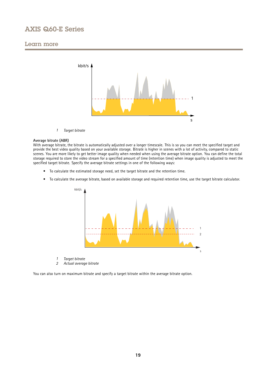## Learn more



*1 Target bitrate*

#### **Average bitrate (ABR)**

With average bitrate, the bitrate is automatically adjusted over a longer timescale. This is so you can meet the specified target and provide the best video quality based on your available storage. Bitrate is higher in scenes with <sup>a</sup> lot of activity, compared to static scenes. You are more likely to get better image quality when needed when using the average bitrate option. You can define the total storage required to store the video stream for <sup>a</sup> specified amount of time (retention time) when image quality is adjusted to meet the specified target bitrate. Specify the average bitrate settings in one of the following ways:

- To calculate the estimated storage need, set the target bitrate and the retention time.
- To calculate the average bitrate, based on available storage and required retention time, use the target bitrate calculator.



- *1 Target bitrate*
- *2 Actual average bitrate*

You can also turn on maximum bitrate and specify <sup>a</sup> target bitrate within the average bitrate option.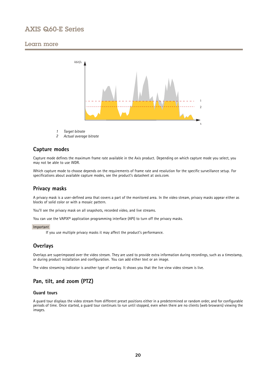## <span id="page-19-0"></span>Learn more



- *1 Target bitrate*
- *2 Actual average bitrate*

## **Capture modes**

Capture mode defines the maximum frame rate available in the Axis product. Depending on which capture mode you select, you may not be able to use WDR.

Which capture mode to choose depends on the requirements of frame rate and resolution for the specific surveillance setup. For specifications about available capture modes, see the product's datasheet at *[axis.com](https://www.axis.com)*.

## **Privacy masks**

A privacy mask is <sup>a</sup> user-defined area that covers <sup>a</sup> part of the monitored area. In the video stream, privacy masks appear either as blocks of solid color or with <sup>a</sup> mosaic pattern.

You'll see the privacy mask on all snapshots, recorded video, and live streams.

You can use the VAPIX<sup>®</sup> application programming interface (API) to turn off the privacy masks.

### Important

If you use multiple privacy masks it may affect the product's performance.

## **Overlays**

Overlays are superimposed over the video stream. They are used to provide extra information during recordings, such as <sup>a</sup> timestamp, or during product installation and configuration. You can add either text or an image.

The video streaming indicator is another type of overlay. It shows you that the live view video stream is live.

## **Pan, tilt, and zoom (PTZ)**

## **Guard tours**

A guard tour displays the video stream from different preset positions either in <sup>a</sup> predetermined or random order, and for configurable periods of time. Once started, <sup>a</sup> guard tour continues to run until stopped, even when there are no clients (web browsers) viewing the images.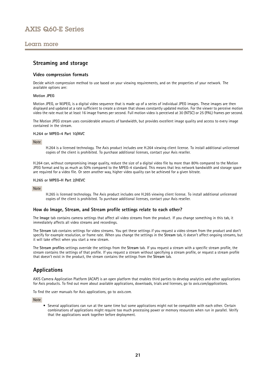## <span id="page-20-0"></span>Learn more

## **Streaming and storage**

### **Video compression formats**

Decide which compression method to use based on your viewing requirements, and on the properties of your network. The available options are:

### **Motion JPEG**

Motion JPEG, or MJPEG, is <sup>a</sup> digital video sequence that is made up of <sup>a</sup> series of individual JPEG images. These images are then displayed and updated at <sup>a</sup> rate sufficient to create <sup>a</sup> stream that shows constantly updated motion. For the viewer to perceive motion video the rate must be at least <sup>16</sup> image frames per second. Full motion video is perceived at <sup>30</sup> (NTSC) or <sup>25</sup> (PAL) frames per second.

The Motion JPEG stream uses considerable amounts of bandwidth, but provides excellent image quality and access to every image contained in the stream.

#### **H.264 or MPEG-4 Part 10/AVC**

#### Note

H.264 is <sup>a</sup> licensed technology. The Axis product includes one H.264 viewing client license. To install additional unlicensed copies of the client is prohibited. To purchase additional licenses, contact your Axis reseller.

H.264 can, without compromising image quality, reduce the size of <sup>a</sup> digital video file by more than 80% compared to the Motion JPEG format and by as much as 50% compared to the MPEG-4 standard. This means that less network bandwidth and storage space are required for <sup>a</sup> video file. Or seen another way, higher video quality can be achieved for <sup>a</sup> given bitrate.

#### **H.265 or MPEG-H Part 2/HEVC**

#### Note

H.265 is licensed technology. The Axis product includes one H.265 viewing client license. To install additional unlicensed copies of the client is prohibited. To purchase additional licenses, contact your Axis reseller.

## **How do Image, Stream, and Stream profile settings relate to each other?**

The **Image** tab contains camera settings that affect all video streams from the product. If you change something in this tab, it immediately affects all video streams and recordings.

The **Stream** tab contains settings for video streams. You get these settings if you request <sup>a</sup> video stream from the product and don't specify for example resolution, or frame rate. When you change the settings in the **Stream** tab, it doesn't affect ongoing streams, but it will take effect when you start <sup>a</sup> new stream.

The **Stream profiles** settings override the settings from the **Stream** tab. If you request <sup>a</sup> stream with <sup>a</sup> specific stream profile, the stream contains the settings of that profile. If you request <sup>a</sup> stream without specifying <sup>a</sup> stream profile, or request <sup>a</sup> stream profile that doesn't exist in the product, the stream contains the settings from the **Stream** tab.

## **Applications**

AXIS Camera Application Platform (ACAP) is an open platform that enables third parties to develop analytics and other applications for Axis products. To find out more about available applications, downloads, trials and licenses, go to *[axis.com/applications](https://www.axis.com/applications)*.

To find the user manuals for Axis applications, go to *[axis.com](https://www.axis.com)*.

Note

• Several applications can run at the same time but some applications might not be compatible with each other. Certain combinations of applications might require too much processing power or memory resources when run in parallel. Verify that the applications work together before deployment.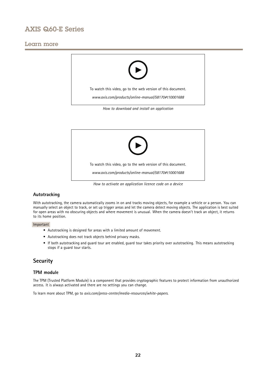## <span id="page-21-0"></span>Learn more





# **Autotracking**

With autotracking, the camera automatically zooms in on and tracks moving objects, for example <sup>a</sup> vehicle or <sup>a</sup> person. You can manually select an object to track, or set up trigger areas and let the camera detect moving objects. The application is best suited for open areas with no obscuring objects and where movement is unusual. When the camera doesn't track an object, it returns to its home position.

### Important

- Autotracking is designed for areas with <sup>a</sup> limited amount of movement.
- Autotracking does not track objects behind privacy masks.
- If both autotracking and guard tour are enabled, guard tour takes priority over autotracking. This means autotracking stops if <sup>a</sup> guard tour starts.

## **Security**

## **TPM module**

The TPM (Trusted Platform Module) is <sup>a</sup> component that provides cryptographic features to protect information from unauthorized access. It is always activated and there are no settings you can change.

To learn more about TPM, go to *[axis.com/press-center/media-resources/white-papers](https://www.axis.com/press-center/media-resources/white-papers)*.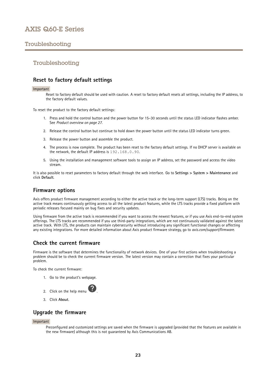## <span id="page-22-0"></span>Troubleshooting

## Troubleshooting

## **Reset to factory default settings**

#### Important

Reset to factory default should be used with caution. A reset to factory default resets all settings, including the IP address, to the factory default values.

To reset the product to the factory default settings:

- 1. Press and hold the control button and the power button for 15–30 seconds until the status LED indicator flashes amber. See *Product [overview](#page-26-0) on page [27](#page-26-0)*.
- 2. Release the control button but continue to hold down the power button until the status LED indicator turns green.
- 3. Release the power button and assemble the product.
- 4. The process is now complete. The product has been reset to the factory default settings. If no DHCP server is available on the network, the default IP address is 192.168.0.90.
- 5. Using the installation and management software tools to assign an IP address, set the password and access the video stream.

It is also possible to reset parameters to factory default through the web interface. Go to **Settings <sup>&</sup>gt; System <sup>&</sup>gt; Maintenance** and click **Default**.

## **Firmware options**

Axis offers product firmware management according to either the active track or the long-term support (LTS) tracks. Being on the active track means continuously getting access to all the latest product features, while the LTS tracks provide <sup>a</sup> fixed platform with periodic releases focused mainly on bug fixes and security updates.

Using firmware from the active track is recommended if you want to access the newest features, or if you use Axis end-to-end system offerings. The LTS tracks are recommended if you use third-party integrations, which are not continuously validated against the latest active track. With LTS, the products can maintain cybersecurity without introducing any significant functional changes or affecting any existing integrations. For more detailed information about Axis product firmware strategy, go to *[axis.com/support/firmware](https://www.axis.com/support/firmware)*.

## **Check the current firmware**

Firmware is the software that determines the functionality of network devices. One of your first actions when troubleshooting <sup>a</sup> problem should be to check the current firmware version. The latest version may contain <sup>a</sup> correction that fixes your particular problem.

To check the current firmware:

1. Go to the product's webpage.



3. Click **About**.

## **Upgrade the firmware**

#### Important

Preconfigured and customized settings are saved when the firmware is upgraded (provided that the features are available in the new firmware) although this is not guaranteed by Axis Communications AB.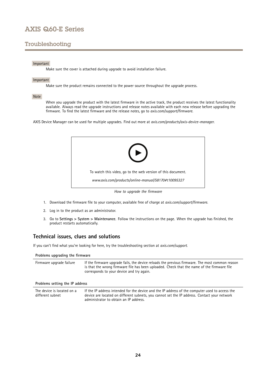## <span id="page-23-0"></span>Troubleshooting

### Important

Make sure the cover is attached during upgrade to avoid installation failure.

### Important

Make sure the product remains connected to the power source throughout the upgrade process.

### Note

When you upgrade the product with the latest firmware in the active track, the product receives the latest functionality available. Always read the upgrade instructions and release notes available with each new release before upgrading the firmware. To find the latest firmware and the release notes, go to *[axis.com/support/firmware](https://www.axis.com/support/firmware)*.

AXIS Device Manager can be used for multiple upgrades. Find out more at *[axis.com/products/axis-device-manager](https://www.axis.com/products/axis-device-manager)*.



- 1. Download the firmware file to your computer, available free of charge at *[axis.com/support/firmware](https://www.axis.com/support/firmware)*.
- 2. Log in to the product as an administrator.
- 3. Go to **Settings <sup>&</sup>gt; System <sup>&</sup>gt; Maintenance**. Follow the instructions on the page. When the upgrade has finished, the product restarts automatically.

## **Technical issues, clues and solutions**

If you can't find what you're looking for here, try the troubleshooting section at *[axis.com/support](https://www.axis.com/support)*.

administrator to obtain an IP address.

| Problems upgrading the firmware                |                                                                                                                                                                                                                                             |  |  |
|------------------------------------------------|---------------------------------------------------------------------------------------------------------------------------------------------------------------------------------------------------------------------------------------------|--|--|
| Firmware upgrade failure                       | If the firmware upgrade fails, the device reloads the previous firmware. The most common reason<br>is that the wrong firmware file has been uploaded. Check that the name of the firmware file<br>corresponds to your device and try again. |  |  |
| Problems setting the IP address                |                                                                                                                                                                                                                                             |  |  |
| The device is located on a<br>different subnet | If the IP address intended for the device and the IP address of the computer used to access the<br>device are located on different subnets, you cannot set the IP address. Contact your network                                             |  |  |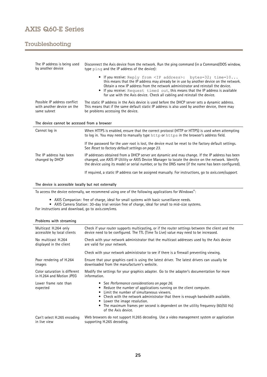# Troubleshooting

| The IP address is being used<br>by another device                         | Disconnect the Axis device from the network. Run the ping command (in a Command/DOS window,<br>type ping and the IP address of the device):                                                                                                                                                                                                                                                                           |
|---------------------------------------------------------------------------|-----------------------------------------------------------------------------------------------------------------------------------------------------------------------------------------------------------------------------------------------------------------------------------------------------------------------------------------------------------------------------------------------------------------------|
|                                                                           | • If you receive: Reply from <ip address="">: bytes=32; time=10<br/>this means that the IP address may already be in use by another device on the network.<br/>Obtain a new IP address from the network administrator and reinstall the device.<br/>If you receive: Request timed out, this means that the IP address is available<br/>for use with the Axis device. Check all cabling and reinstall the device.</ip> |
| Possible IP address conflict<br>with another device on the<br>same subnet | The static IP address in the Axis device is used before the DHCP server sets a dynamic address.<br>This means that if the same default static IP address is also used by another device, there may<br>be problems accessing the device.                                                                                                                                                                               |
|                                                                           |                                                                                                                                                                                                                                                                                                                                                                                                                       |
| The device cannot be accessed from a browser                              |                                                                                                                                                                                                                                                                                                                                                                                                                       |
| Cannot log in                                                             | When HTTPS is enabled, ensure that the correct protocol (HTTP or HTTPS) is used when attempting<br>to log in. You may need to manually type http or https in the browser's address field.                                                                                                                                                                                                                             |
|                                                                           | If the password for the user root is lost, the device must be reset to the factory default settings.<br>See Reset to factory default settings on page 23.                                                                                                                                                                                                                                                             |
| The IP address has been<br>changed by DHCP                                | IP addresses obtained from a DHCP server are dynamic and may change. If the IP address has been<br>changed, use AXIS IP Utility or AXIS Device Manager to locate the device on the network. Identify<br>the device using its model or serial number, or by the DNS name (if the name has been configured).                                                                                                            |

### **The device is accessible locally but not externally**

To access the device externally, we recommend using one of the following applications for Windows® :

- 
- AXIS Companion: free of charge, ideal for small systems with basic surveillance needs. AXIS Camera Station: 30-day trial version free of charge, ideal for small to mid-size systems.

For instructions and download, go to *[axis.com/vms](https://www.axis.com/vms)*.

| Multicast H.264 only              | Check if your router supports multicasting, or if the router settings between the client and the                                                                                                                                                                                                                                                                                                |
|-----------------------------------|-------------------------------------------------------------------------------------------------------------------------------------------------------------------------------------------------------------------------------------------------------------------------------------------------------------------------------------------------------------------------------------------------|
| accessible by local clients       | device need to be configured. The TTL (Time To Live) value may need to be increased.                                                                                                                                                                                                                                                                                                            |
| No multicast H.264                | Check with your network administrator that the multicast addresses used by the Axis device                                                                                                                                                                                                                                                                                                      |
| displayed in the client           | are valid for your network.                                                                                                                                                                                                                                                                                                                                                                     |
|                                   | Check with your network administrator to see if there is a firewall preventing viewing.                                                                                                                                                                                                                                                                                                         |
| Poor rendering of H.264           | Ensure that your graphics card is using the latest driver. The latest drivers can usually be                                                                                                                                                                                                                                                                                                    |
| images                            | downloaded from the manufacturer's website.                                                                                                                                                                                                                                                                                                                                                     |
| Color saturation is different     | Modify the settings for your graphics adapter. Go to the adapter's documentation for more                                                                                                                                                                                                                                                                                                       |
| in H.264 and Motion JPEG          | information.                                                                                                                                                                                                                                                                                                                                                                                    |
| Lower frame rate than<br>expected | • See Performance considerations on page 26.<br>Reduce the number of applications running on the client computer.<br>Limit the number of simultaneous viewers.<br>٠<br>Check with the network administrator that there is enough bandwidth available.<br>Lower the image resolution.<br>• The maximum frames per second is dependent on the utility frequency (60/50 Hz)<br>of the Axis device. |
| Can't select H.265 encoding       | Web browsers do not support H.265 decoding. Use a video management system or application                                                                                                                                                                                                                                                                                                        |
| in live view                      | supporting H.265 decoding.                                                                                                                                                                                                                                                                                                                                                                      |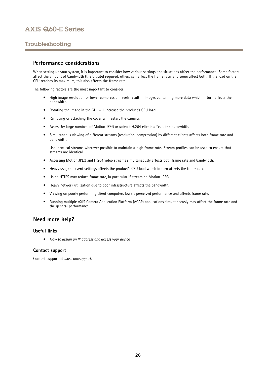## <span id="page-25-0"></span>Troubleshooting

## **Performance considerations**

When setting up your system, it is important to consider how various settings and situations affect the performance. Some factors affect the amount of bandwidth (the bitrate) required, others can affect the frame rate, and some affect both. If the load on the CPU reaches its maximum, this also affects the frame rate.

The following factors are the most important to consider:

- High image resolution or lower compression levels result in images containing more data which in turn affects the bandwidth.
- Rotating the image in the GUI will increase the product's CPU load.
- Removing or attaching the cover will restart the camera.
- •Access by large numbers of Motion JPEG or unicast H.264 clients affects the bandwidth.
- • Simultaneous viewing of different streams (resolution, compression) by different clients affects both frame rate and bandwidth.

Use identical streams wherever possible to maintain <sup>a</sup> high frame rate. Stream profiles can be used to ensure that streams are identical.

- Accessing Motion JPEG and H.264 video streams simultaneously affects both frame rate and bandwidth.
- Heavy usage of event settings affects the product's CPU load which in turn affects the frame rate.
- Using HTTPS may reduce frame rate, in particular if streaming Motion JPEG.
- •Heavy network utilization due to poor infrastructure affects the bandwidth.
- •Viewing on poorly performing client computers lowers perceived performance and affects frame rate.
- • Running multiple AXIS Camera Application Platform (ACAP) applications simultaneously may affect the frame rate and the general performance.

## **Need more help?**

## **Useful links**

• *How to assign an IP [address](https://www.axis.com/files/manuals/um_howtoassignanipaddressandaccessyourdevice_t10118032_en_1811.pdf) and access your device*

### **Contact support**

Contact support at *[axis.com/support](https://www.axis.com/support)*.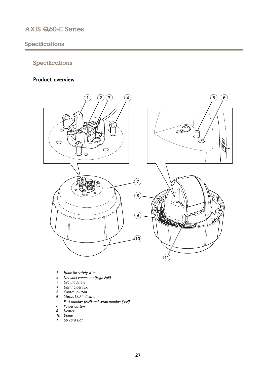# <span id="page-26-0"></span>Specifications

# Specifications

## **Product overview**



- *1 Hook for safety wire*
- *<sup>2</sup> Network connector (High PoE)*
- *3 Ground screw*
- *<sup>4</sup> Unit holder (3x)*
- *5 Control button*
- *6 Status LED indicator*
- *<sup>7</sup> Part number (P/N) and serial number (S/N)*
- *8 Power button*
- *9 Heater*
- *10 Dome*
- *11 SD card slot*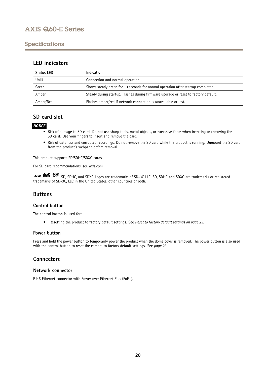## <span id="page-27-0"></span>Specifications

## **LED indicators**

| Status LED | Indication                                                                          |
|------------|-------------------------------------------------------------------------------------|
| Unlit      | Connection and normal operation.                                                    |
| Green      | Shows steady green for 10 seconds for normal operation after startup completed.     |
| Amber      | Steady during startup. Flashes during firmware upgrade or reset to factory default. |
| Amber/Red  | Flashes amber/red if network connection is unavailable or lost.                     |

## **SD card slot**

## *NOTICE*

- Risk of damage to SD card. Do not use sharp tools, metal objects, or excessive force when inserting or removing the SD card. Use your fingers to insert and remove the card.
- Risk of data loss and corrupted recordings. Do not remove the SD card while the product is running. Unmount the SD card from the product's webpage before removal.

This product supports SD/SDHC/SDXC cards.

For SD card recommendations, see *[axis.com](https://www.axis.com)*.

SD, SDHC, and SDXC Logos are trademarks of SD-3C LLC. SD, SDHC and SDXC are trademarks or registered trademarks of SD-3C, LLC in the United States, other countries or both.

## **Buttons**

## **Control button**

The control button is used for:

• Resetting the product to factory default settings. See *Reset to factory default [settings](#page-22-0) on page [23](#page-22-0)*.

## **Power button**

Press and hold the power button to temporarily power the product when the dome cover is removed. The power button is also used with the control button to reset the camera to factory default settings. See *[page](#page-22-0) [23](#page-22-0)*.

## **Connectors**

## **Network connector**

RJ45 Ethernet connector with Power over Ethernet Plus (PoE+).